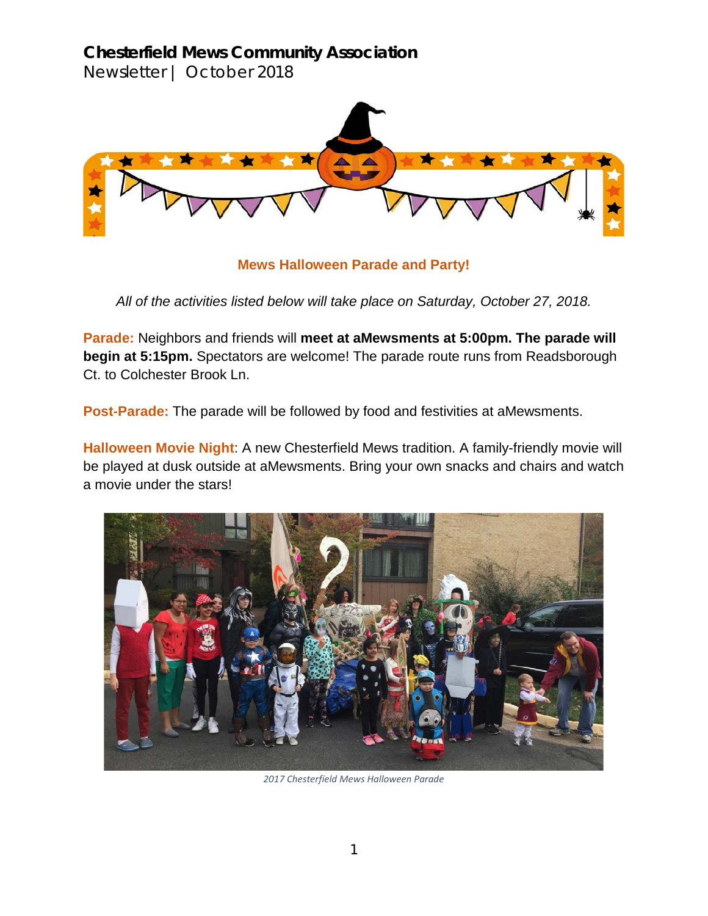**Chesterfield Mews Community Association** Newsletter | October 2018



**Mews Halloween Parade and Party!**

*All of the activities listed below will take place on Saturday, October 27, 2018.*

**Parade:** Neighbors and friends will **meet at aMewsments at 5:00pm. The parade will begin at 5:15pm.** Spectators are welcome! The parade route runs from Readsborough Ct. to Colchester Brook Ln.

**Post-Parade:** The parade will be followed by food and festivities at aMewsments.

**Halloween Movie Night**: A new Chesterfield Mews tradition. A family-friendly movie will be played at dusk outside at aMewsments. Bring your own snacks and chairs and watch a movie under the stars!



*2017 Chesterfield Mews Halloween Parade*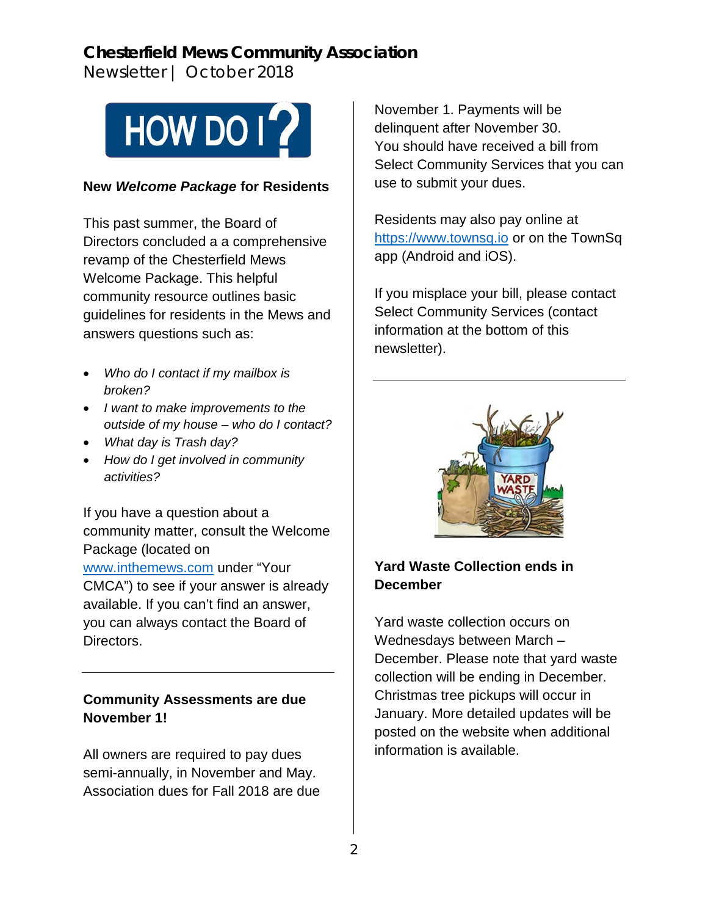# **Chesterfield Mews Community Association**

Newsletter | October 2018



#### **New** *Welcome Package* **for Residents**

This past summer, the Board of Directors concluded a a comprehensive revamp of the Chesterfield Mews Welcome Package. This helpful community resource outlines basic guidelines for residents in the Mews and answers questions such as:

- *Who do I contact if my mailbox is broken?*
- *I want to make improvements to the outside of my house – who do I contact?*
- *What day is Trash day?*
- *How do I get involved in community activities?*

If you have a question about a community matter, consult the Welcome Package (located on [www.inthemews.com](http://www.inthemews.com/) under "Your CMCA") to see if your answer is already available. If you can't find an answer, you can always contact the Board of Directors.

## **Community Assessments are due November 1!**

All owners are required to pay dues semi-annually, in November and May. Association dues for Fall 2018 are due November 1. Payments will be delinquent after November 30. You should have received a bill from Select Community Services that you can use to submit your dues.

Residents may also pay online at [https://www.townsq.io](https://www.townsq.io/) or on the TownSq app (Android and iOS).

If you misplace your bill, please contact Select Community Services (contact information at the bottom of this newsletter).



## **Yard Waste Collection ends in December**

Yard waste collection occurs on Wednesdays between March – December. Please note that yard waste collection will be ending in December. Christmas tree pickups will occur in January. More detailed updates will be posted on the website when additional information is available.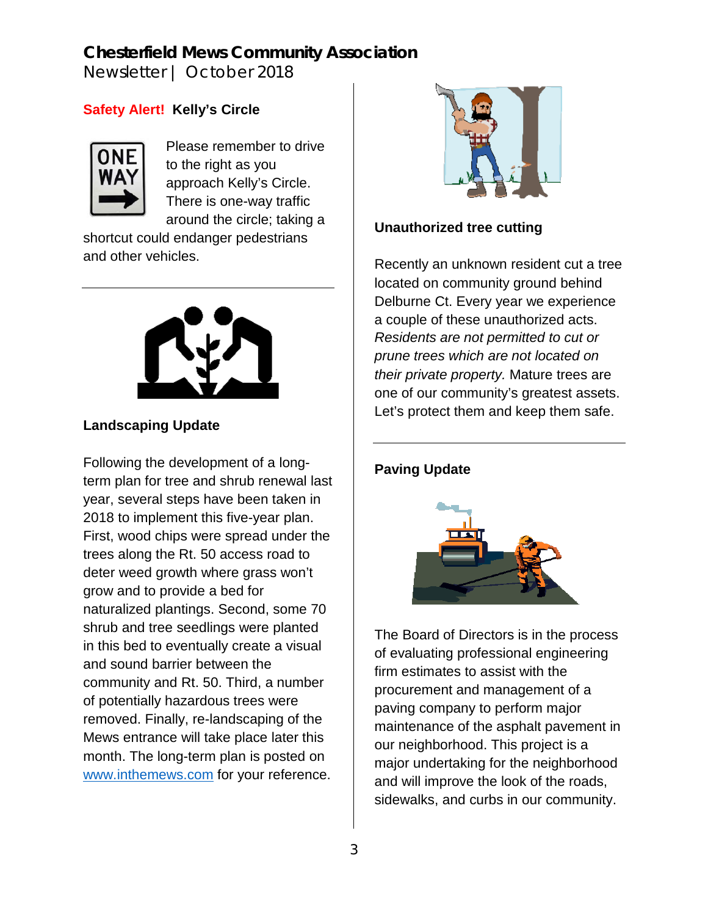# **Chesterfield Mews Community Association**

Newsletter | October 2018

## **Safety Alert! Kelly's Circle**



Please remember to drive to the right as you approach Kelly's Circle. There is one-way traffic around the circle; taking a

shortcut could endanger pedestrians and other vehicles.



## **Landscaping Update**

Following the development of a longterm plan for tree and shrub renewal last year, several steps have been taken in 2018 to implement this five-year plan. First, wood chips were spread under the trees along the Rt. 50 access road to deter weed growth where grass won't grow and to provide a bed for naturalized plantings. Second, some 70 shrub and tree seedlings were planted in this bed to eventually create a visual and sound barrier between the community and Rt. 50. Third, a number of potentially hazardous trees were removed. Finally, re-landscaping of the Mews entrance will take place later this month. The long-term plan is posted on [www.inthemews.com](http://www.inthemews.com/) for your reference.



#### **Unauthorized tree cutting**

Recently an unknown resident cut a tree located on community ground behind Delburne Ct. Every year we experience a couple of these unauthorized acts. *Residents are not permitted to cut or prune trees which are not located on their private property.* Mature trees are one of our community's greatest assets. Let's protect them and keep them safe.

#### **Paving Update**



The Board of Directors is in the process of evaluating professional engineering firm estimates to assist with the procurement and management of a paving company to perform major maintenance of the asphalt pavement in our neighborhood. This project is a major undertaking for the neighborhood and will improve the look of the roads, sidewalks, and curbs in our community.